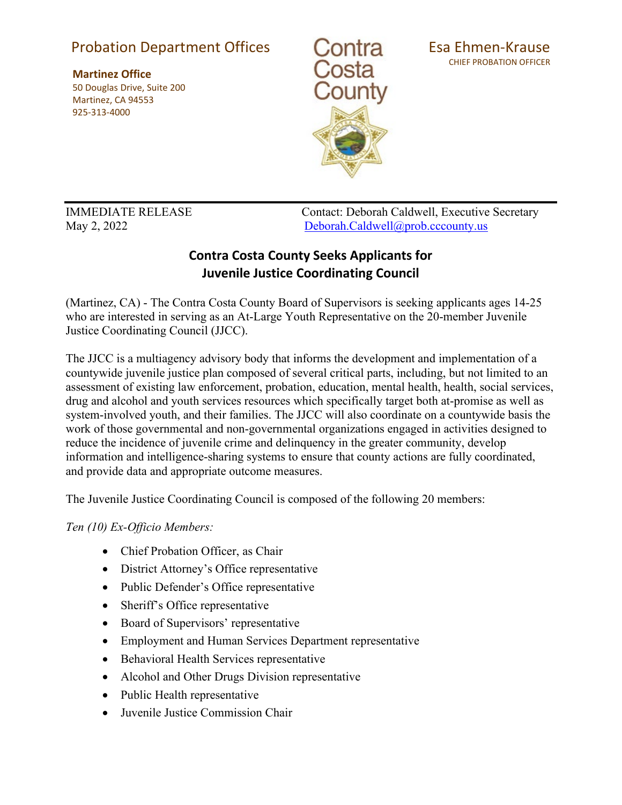## Probation Department Offices

**Martinez Office** 50 Douglas Drive, Suite 200 Martinez, CA 94553 925-313-4000



Esa Ehmen-Krause CHIEF PROBATION OFFICER

IMMEDIATE RELEASE Contact: Deborah Caldwell, Executive Secretary May 2, 2022 [Deborah.Caldwell@prob.cccounty.us](mailto:Deborah.Caldwell@prob.cccounty.us)

## **Contra Costa County Seeks Applicants for Juvenile Justice Coordinating Council**

(Martinez, CA) - The Contra Costa County Board of Supervisors is seeking applicants ages 14-25 who are interested in serving as an At-Large Youth Representative on the 20-member Juvenile Justice Coordinating Council (JJCC).

The JJCC is a multiagency advisory body that informs the development and implementation of a countywide juvenile justice plan composed of several critical parts, including, but not limited to an assessment of existing law enforcement, probation, education, mental health, health, social services, drug and alcohol and youth services resources which specifically target both at-promise as well as system-involved youth, and their families. The JJCC will also coordinate on a countywide basis the work of those governmental and non-governmental organizations engaged in activities designed to reduce the incidence of juvenile crime and delinquency in the greater community, develop information and intelligence-sharing systems to ensure that county actions are fully coordinated, and provide data and appropriate outcome measures.

The Juvenile Justice Coordinating Council is composed of the following 20 members:

*Ten (10) Ex‐Officio Members:*

- Chief Probation Officer, as Chair
- District Attorney's Office representative
- Public Defender's Office representative
- Sheriff's Office representative
- Board of Supervisors' representative
- Employment and Human Services Department representative
- Behavioral Health Services representative
- Alcohol and Other Drugs Division representative
- Public Health representative
- Juvenile Justice Commission Chair